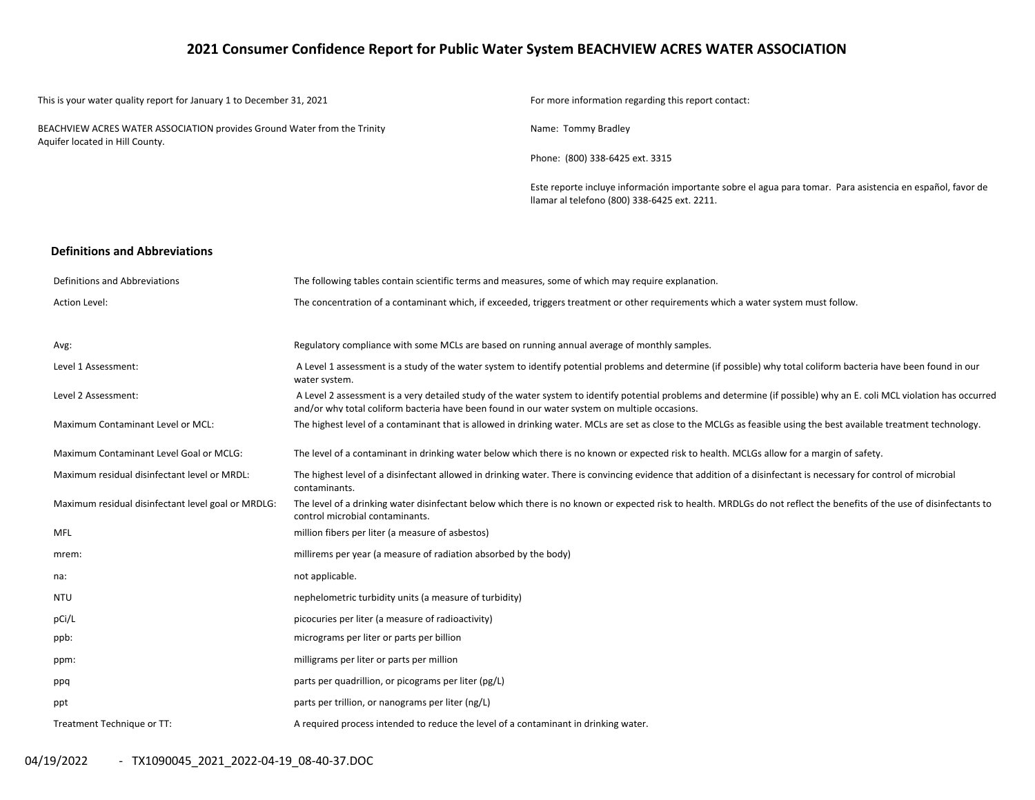# **2021 Consumer Confidence Report for Public Water System BEACHVIEW ACRES WATER ASSOCIATION**

| This is your water quality report for January 1 to December 31, 2021                                        |                                                                                                                                                                                    | For more information regarding this report contact:                                                                                                                    |  |  |  |  |
|-------------------------------------------------------------------------------------------------------------|------------------------------------------------------------------------------------------------------------------------------------------------------------------------------------|------------------------------------------------------------------------------------------------------------------------------------------------------------------------|--|--|--|--|
| BEACHVIEW ACRES WATER ASSOCIATION provides Ground Water from the Trinity<br>Aquifer located in Hill County. |                                                                                                                                                                                    | Name: Tommy Bradley                                                                                                                                                    |  |  |  |  |
|                                                                                                             |                                                                                                                                                                                    | Phone: (800) 338-6425 ext. 3315                                                                                                                                        |  |  |  |  |
|                                                                                                             |                                                                                                                                                                                    | Este reporte incluye información importante sobre el agua para tomar. Para asistencia en español, favor de<br>llamar al telefono (800) 338-6425 ext. 2211.             |  |  |  |  |
| <b>Definitions and Abbreviations</b>                                                                        |                                                                                                                                                                                    |                                                                                                                                                                        |  |  |  |  |
| Definitions and Abbreviations                                                                               | The following tables contain scientific terms and measures, some of which may require explanation.                                                                                 |                                                                                                                                                                        |  |  |  |  |
| <b>Action Level:</b>                                                                                        |                                                                                                                                                                                    | The concentration of a contaminant which, if exceeded, triggers treatment or other requirements which a water system must follow.                                      |  |  |  |  |
| Avg:                                                                                                        | Regulatory compliance with some MCLs are based on running annual average of monthly samples.                                                                                       |                                                                                                                                                                        |  |  |  |  |
| Level 1 Assessment:                                                                                         | A Level 1 assessment is a study of the water system to identify potential problems and determine (if possible) why total coliform bacteria have been found in our<br>water system. |                                                                                                                                                                        |  |  |  |  |
| Level 2 Assessment:                                                                                         | and/or why total coliform bacteria have been found in our water system on multiple occasions.                                                                                      | A Level 2 assessment is a very detailed study of the water system to identify potential problems and determine (if possible) why an E. coli MCL violation has occurred |  |  |  |  |
| Maximum Contaminant Level or MCL:                                                                           |                                                                                                                                                                                    | The highest level of a contaminant that is allowed in drinking water. MCLs are set as close to the MCLGs as feasible using the best available treatment technology.    |  |  |  |  |
| Maximum Contaminant Level Goal or MCLG:                                                                     |                                                                                                                                                                                    | The level of a contaminant in drinking water below which there is no known or expected risk to health. MCLGs allow for a margin of safety.                             |  |  |  |  |
| Maximum residual disinfectant level or MRDL:                                                                | contaminants.                                                                                                                                                                      | The highest level of a disinfectant allowed in drinking water. There is convincing evidence that addition of a disinfectant is necessary for control of microbial      |  |  |  |  |
| Maximum residual disinfectant level goal or MRDLG:                                                          | control microbial contaminants.                                                                                                                                                    | The level of a drinking water disinfectant below which there is no known or expected risk to health. MRDLGs do not reflect the benefits of the use of disinfectants to |  |  |  |  |
| <b>MFL</b>                                                                                                  | million fibers per liter (a measure of asbestos)                                                                                                                                   |                                                                                                                                                                        |  |  |  |  |
| mrem:                                                                                                       | millirems per year (a measure of radiation absorbed by the body)                                                                                                                   |                                                                                                                                                                        |  |  |  |  |
| na:                                                                                                         | not applicable.                                                                                                                                                                    |                                                                                                                                                                        |  |  |  |  |
| <b>NTU</b>                                                                                                  | nephelometric turbidity units (a measure of turbidity)                                                                                                                             |                                                                                                                                                                        |  |  |  |  |
| pCi/L                                                                                                       | picocuries per liter (a measure of radioactivity)                                                                                                                                  |                                                                                                                                                                        |  |  |  |  |
| ppb:                                                                                                        | micrograms per liter or parts per billion                                                                                                                                          |                                                                                                                                                                        |  |  |  |  |
| ppm:                                                                                                        | milligrams per liter or parts per million                                                                                                                                          |                                                                                                                                                                        |  |  |  |  |
| ppq                                                                                                         | parts per quadrillion, or picograms per liter (pg/L)                                                                                                                               |                                                                                                                                                                        |  |  |  |  |
| ppt                                                                                                         | parts per trillion, or nanograms per liter (ng/L)                                                                                                                                  |                                                                                                                                                                        |  |  |  |  |
| Treatment Technique or TT:                                                                                  | A required process intended to reduce the level of a contaminant in drinking water.                                                                                                |                                                                                                                                                                        |  |  |  |  |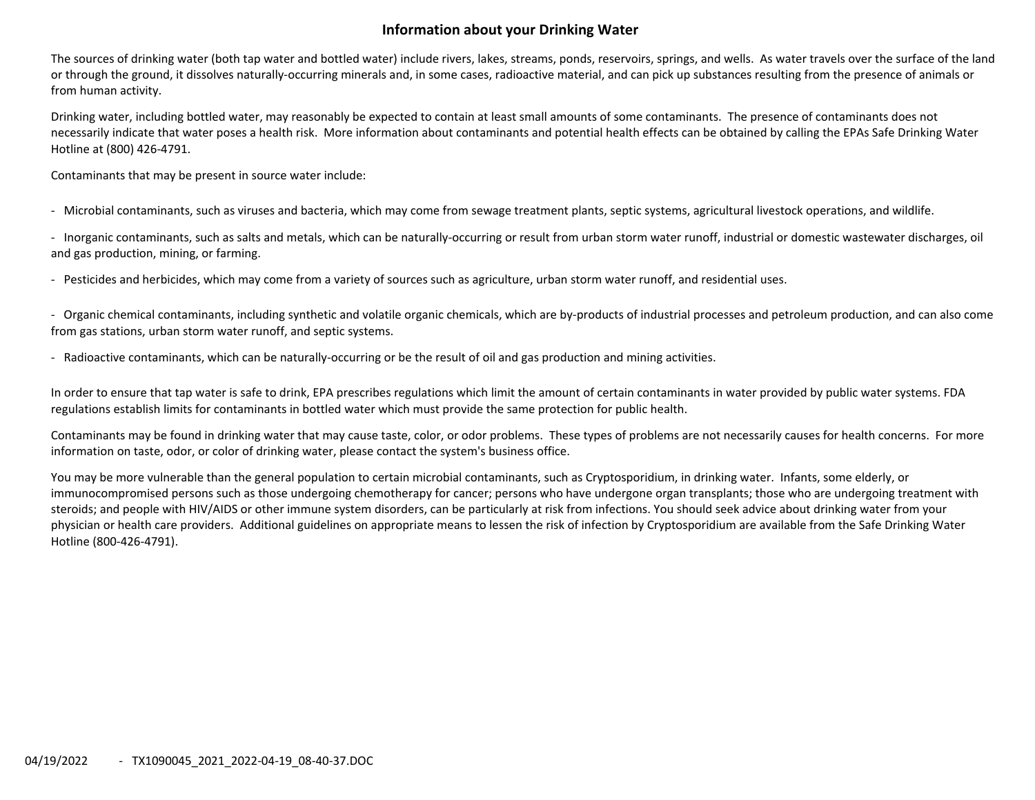# **Information about your Drinking Water**

The sources of drinking water (both tap water and bottled water) include rivers, lakes, streams, ponds, reservoirs, springs, and wells. As water travels over the surface of the land or through the ground, it dissolves naturally‐occurring minerals and, in some cases, radioactive material, and can pick up substances resulting from the presence of animals or from human activity.

Drinking water, including bottled water, may reasonably be expected to contain at least small amounts of some contaminants. The presence of contaminants does not necessarily indicate that water poses <sup>a</sup> health risk. More information about contaminants and potential health effects can be obtained by calling the EPAs Safe Drinking Water Hotline at (800) 426‐4791.

Contaminants that may be present in source water include:

‐ Microbial contaminants, such as viruses and bacteria, which may come from sewage treatment plants, septic systems, agricultural livestock operations, and wildlife.

‐ Inorganic contaminants, such as salts and metals, which can be naturally‐occurring or result from urban storm water runoff, industrial or domestic wastewater discharges, oil and gas production, mining, or farming.

‐ Pesticides and herbicides, which may come from <sup>a</sup> variety of sources such as agriculture, urban storm water runoff, and residential uses.

‐ Organic chemical contaminants, including synthetic and volatile organic chemicals, which are by‐products of industrial processes and petroleum production, and can also come from gas stations, urban storm water runoff, and septic systems.

‐ Radioactive contaminants, which can be naturally‐occurring or be the result of oil and gas production and mining activities.

In order to ensure that tap water is safe to drink, EPA prescribes regulations which limit the amount of certain contaminants in water provided by public water systems. FDA regulations establish limits for contaminants in bottled water which must provide the same protection for public health.

Contaminants may be found in drinking water that may cause taste, color, or odor problems. These types of problems are not necessarily causes for health concerns. For more information on taste, odor, or color of drinking water, please contact the system's business office.

You may be more vulnerable than the general population to certain microbial contaminants, such as Cryptosporidium, in drinking water. Infants, some elderly, or immunocompromised persons such as those undergoing chemotherapy for cancer; persons who have undergone organ transplants; those who are undergoing treatment with steroids; and people with HIV/AIDS or other immune system disorders, can be particularly at risk from infections. You should seek advice about drinking water from your physician or health care providers. Additional guidelines on appropriate means to lessen the risk of infection by Cryptosporidium are available from the Safe Drinking Water Hotline (800‐426‐4791).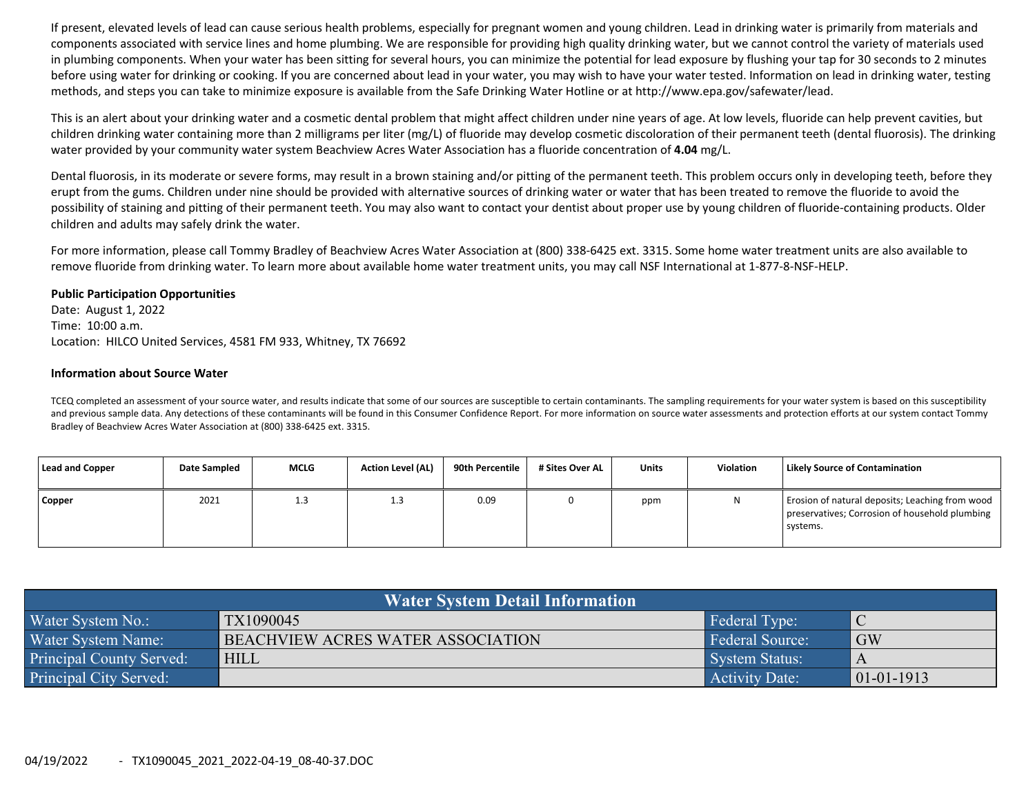If present, elevated levels of lead can cause serious health problems, especially for pregnant women and young children. Lead in drinking water is primarily from materials and components associated with service lines and home plumbing. We are responsible for providing high quality drinking water, but we cannot control the variety of materials used in plumbing components. When your water has been sitting for several hours, you can minimize the potential for lead exposure by flushing your tap for 30 seconds to 2 minutes before using water for drinking or cooking. If you are concerned about lead in your water, you may wish to have your water tested. Information on lead in drinking water, testing methods, and steps you can take to minimize exposure is available from the Safe Drinking Water Hotline or at http://www.epa.gov/safewater/lead.

This is an alert about your drinking water and <sup>a</sup> cosmetic dental problem that might affect children under nine years of age. At low levels, fluoride can help prevent cavities, but children drinking water containing more than 2 milligrams per liter (mg/L) of fluoride may develop cosmetic discoloration of their permanent teeth (dental fluorosis). The drinking water provided by your community water system Beachview Acres Water Association has <sup>a</sup> fluoride concentration of **4.04** mg/L.

Dental fluorosis, in its moderate or severe forms, may result in <sup>a</sup> brown staining and/or pitting of the permanent teeth. This problem occurs only in developing teeth, before they erupt from the gums. Children under nine should be provided with alternative sources of drinking water or water that has been treated to remove the fluoride to avoid the possibility of staining and pitting of their permanent teeth. You may also want to contact your dentist about proper use by young children of fluoride-containing products. Older children and adults may safely drink the water.

For more information, please call Tommy Bradley of Beachview Acres Water Association at (800) 338‐6425 ext. 3315. Some home water treatment units are also available to remove fluoride from drinking water. To learn more about available home water treatment units, you may call NSF International at 1‐877‐8‐NSF‐HELP.

# **Public Participation Opportunities**

Date: August 1, 2022 Time: 10:00 a.m. Location: HILCO United Services, 4581 FM 933, Whitney, TX 76692

## **Information about Source Water**

TCEQ completed an assessment of your source water, and results indicate that some of our sources are susceptible to certain contaminants. The sampling requirements for your water system is based on this susceptibility and previous sample data. Any detections of these contaminants will be found in this Consumer Confidence Report. For more information on source water assessments and protection efforts at our system contact Tommy Bradley of Beachview Acres Water Association at (800) 338‐6425 ext. 3315.

| Lead and Copper | Date Sampled | <b>MCLG</b> | <b>Action Level (AL)</b> | 90th Percentile | # Sites Over AL | <b>Units</b> | Violation | <b>Likely Source of Contamination</b>                                                                         |
|-----------------|--------------|-------------|--------------------------|-----------------|-----------------|--------------|-----------|---------------------------------------------------------------------------------------------------------------|
| <b>Copper</b>   | 2021         | 1.3         | ر…                       | 0.09            |                 | ppm          | N         | Erosion of natural deposits; Leaching from wood<br>preservatives; Corrosion of household plumbing<br>systems. |

| Water System Detail Information |                                   |                        |               |  |  |  |  |  |  |  |
|---------------------------------|-----------------------------------|------------------------|---------------|--|--|--|--|--|--|--|
| Water System No.:               | TX1090045                         | Federal Type:          | $\mathsf{IC}$ |  |  |  |  |  |  |  |
| Water System Name:              | BEACHVIEW ACRES WATER ASSOCIATION | <b>Federal Source:</b> | GW            |  |  |  |  |  |  |  |
| <b>Principal County Served:</b> | <b>HILL</b>                       | System Status:         | A             |  |  |  |  |  |  |  |
| Principal City Served:          |                                   | Activity Date:         | $ 01-01-1913$ |  |  |  |  |  |  |  |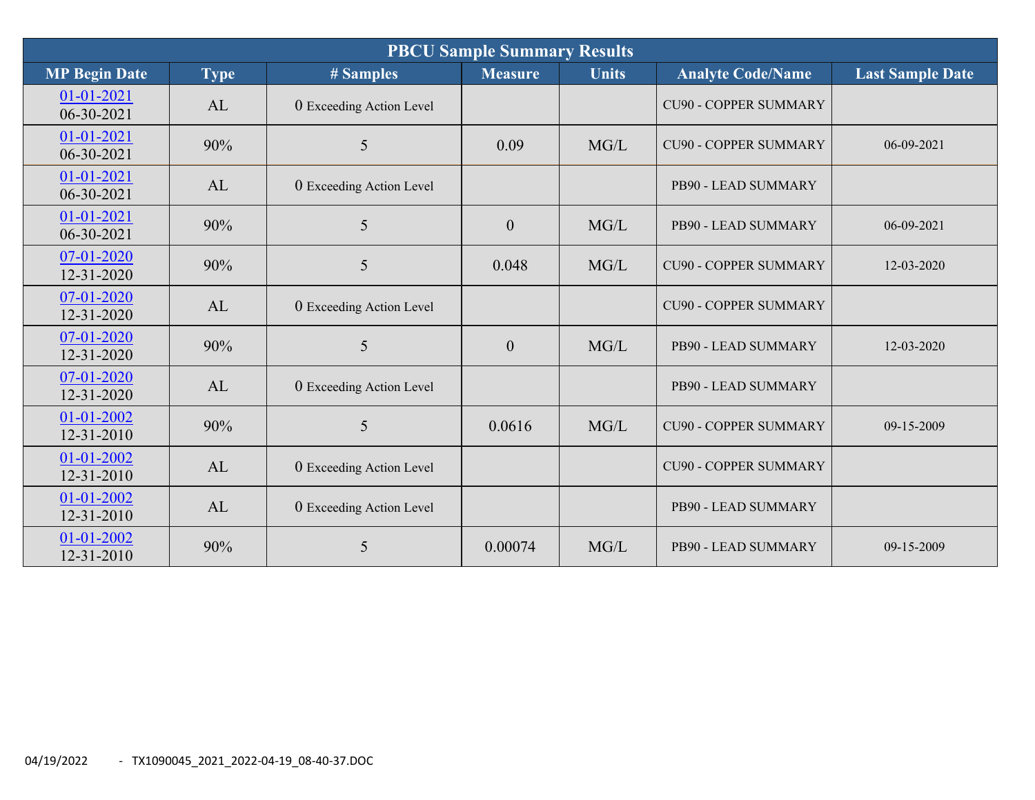| <b>PBCU Sample Summary Results</b>   |             |                          |                  |              |                              |                         |  |  |  |
|--------------------------------------|-------------|--------------------------|------------------|--------------|------------------------------|-------------------------|--|--|--|
| <b>MP Begin Date</b>                 | <b>Type</b> | # Samples                | <b>Measure</b>   | <b>Units</b> | <b>Analyte Code/Name</b>     | <b>Last Sample Date</b> |  |  |  |
| 01-01-2021<br>$06 - 30 - 2021$       | AL          | 0 Exceeding Action Level |                  |              | <b>CU90 - COPPER SUMMARY</b> |                         |  |  |  |
| $01 - 01 - 2021$<br>06-30-2021       | 90%         | 5                        | 0.09             | MG/L         | <b>CU90 - COPPER SUMMARY</b> | 06-09-2021              |  |  |  |
| $01 - 01 - 2021$<br>06-30-2021       | AL          | 0 Exceeding Action Level |                  |              | PB90 - LEAD SUMMARY          |                         |  |  |  |
| $01 - 01 - 2021$<br>$06 - 30 - 2021$ | 90%         | 5                        | $\overline{0}$   | MG/L         | PB90 - LEAD SUMMARY          | 06-09-2021              |  |  |  |
| 07-01-2020<br>12-31-2020             | 90%         | 5                        | 0.048            | MG/L         | <b>CU90 - COPPER SUMMARY</b> | 12-03-2020              |  |  |  |
| 07-01-2020<br>12-31-2020             | AL          | 0 Exceeding Action Level |                  |              | <b>CU90 - COPPER SUMMARY</b> |                         |  |  |  |
| 07-01-2020<br>12-31-2020             | 90%         | 5                        | $\boldsymbol{0}$ | MG/L         | PB90 - LEAD SUMMARY          | 12-03-2020              |  |  |  |
| 07-01-2020<br>$12 - 31 - 2020$       | AL          | 0 Exceeding Action Level |                  |              | PB90 - LEAD SUMMARY          |                         |  |  |  |
| 01-01-2002<br>12-31-2010             | 90%         | 5                        | 0.0616           | MG/L         | <b>CU90 - COPPER SUMMARY</b> | 09-15-2009              |  |  |  |
| 01-01-2002<br>12-31-2010             | AL          | 0 Exceeding Action Level |                  |              | <b>CU90 - COPPER SUMMARY</b> |                         |  |  |  |
| 01-01-2002<br>12-31-2010             | AL          | 0 Exceeding Action Level |                  |              | PB90 - LEAD SUMMARY          |                         |  |  |  |
| 01-01-2002<br>12-31-2010             | 90%         | 5                        | 0.00074          | MG/L         | PB90 - LEAD SUMMARY          | 09-15-2009              |  |  |  |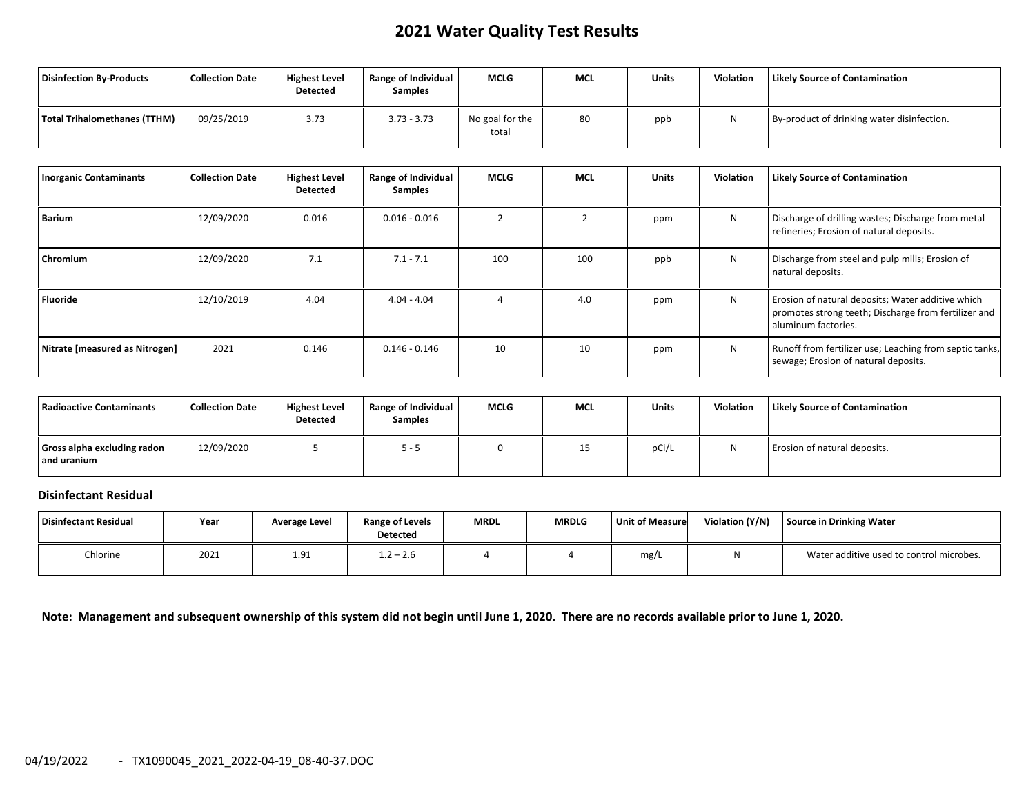# **2021 Water Quality Test Results**

| Disinfection By-Products     | <b>Collection Date</b> | <b>Highest Level</b><br>Detected | <b>Range of Individual</b><br><b>Samples</b> | <b>MCLG</b>              | <b>MCL</b> | <b>Units</b> | <b>Violation</b> | <b>Likely Source of Contamination</b>      |
|------------------------------|------------------------|----------------------------------|----------------------------------------------|--------------------------|------------|--------------|------------------|--------------------------------------------|
| Total Trihalomethanes (TTHM) | 09/25/2019             | 3.73                             | $3.73 - 3.73$                                | No goal for the<br>total | 80         | ppb          | N                | By-product of drinking water disinfection. |

| <b>Inorganic Contaminants</b>  | <b>Collection Date</b> | <b>Highest Level</b><br><b>Detected</b> | <b>Range of Individual</b><br><b>Samples</b> | <b>MCLG</b> | <b>MCL</b> | <b>Units</b> | <b>Violation</b> | <b>Likely Source of Contamination</b>                                                                                            |
|--------------------------------|------------------------|-----------------------------------------|----------------------------------------------|-------------|------------|--------------|------------------|----------------------------------------------------------------------------------------------------------------------------------|
| Barium                         | 12/09/2020             | 0.016                                   | $0.016 - 0.016$                              |             |            | ppm          | N                | Discharge of drilling wastes; Discharge from metal<br>refineries; Erosion of natural deposits.                                   |
| Chromium                       | 12/09/2020             | 7.1                                     | $7.1 - 7.1$                                  | 100         | 100        | ppb          | N                | Discharge from steel and pulp mills; Erosion of<br>natural deposits.                                                             |
| <b>Fluoride</b>                | 12/10/2019             | 4.04                                    | $4.04 - 4.04$                                |             | 4.0        | ppm          | N                | Erosion of natural deposits; Water additive which<br>promotes strong teeth; Discharge from fertilizer and<br>aluminum factories. |
| Nitrate [measured as Nitrogen] | 2021                   | 0.146                                   | $0.146 - 0.146$                              | 10          | 10         | ppm          | N                | Runoff from fertilizer use; Leaching from septic tanks,<br>sewage; Erosion of natural deposits.                                  |

| Radioactive Contaminants                   | <b>Collection Date</b> | <b>Highest Level</b><br><b>Detected</b> | Range of Individual<br><b>Samples</b> | <b>MCLG</b> | <b>MCL</b> | <b>Units</b> | Violation | <b>Likely Source of Contamination</b> |
|--------------------------------------------|------------------------|-----------------------------------------|---------------------------------------|-------------|------------|--------------|-----------|---------------------------------------|
| Gross alpha excluding radon<br>and uranium | 12/09/2020             |                                         | כ- כ                                  |             | 15         | pCi/L        |           | Erosion of natural deposits.          |

### **Disinfectant Residual**

| Disinfectant Residual | Year | <b>Average Level</b> | <b>Range of Levels</b><br><b>Detected</b> | <b>MRDL</b> | <b>MRDLG</b> | <b>Unit of Measure</b> | Violation (Y/N) | Source in Drinking Water                 |
|-----------------------|------|----------------------|-------------------------------------------|-------------|--------------|------------------------|-----------------|------------------------------------------|
| Chlorine              | 2021 | 1.91                 | $1.2 - 2.6$                               |             |              | mg/L                   | ιч.             | Water additive used to control microbes. |

Note: Management and subsequent ownership of this system did not begin until June 1, 2020. There are no records available prior to June 1, 2020.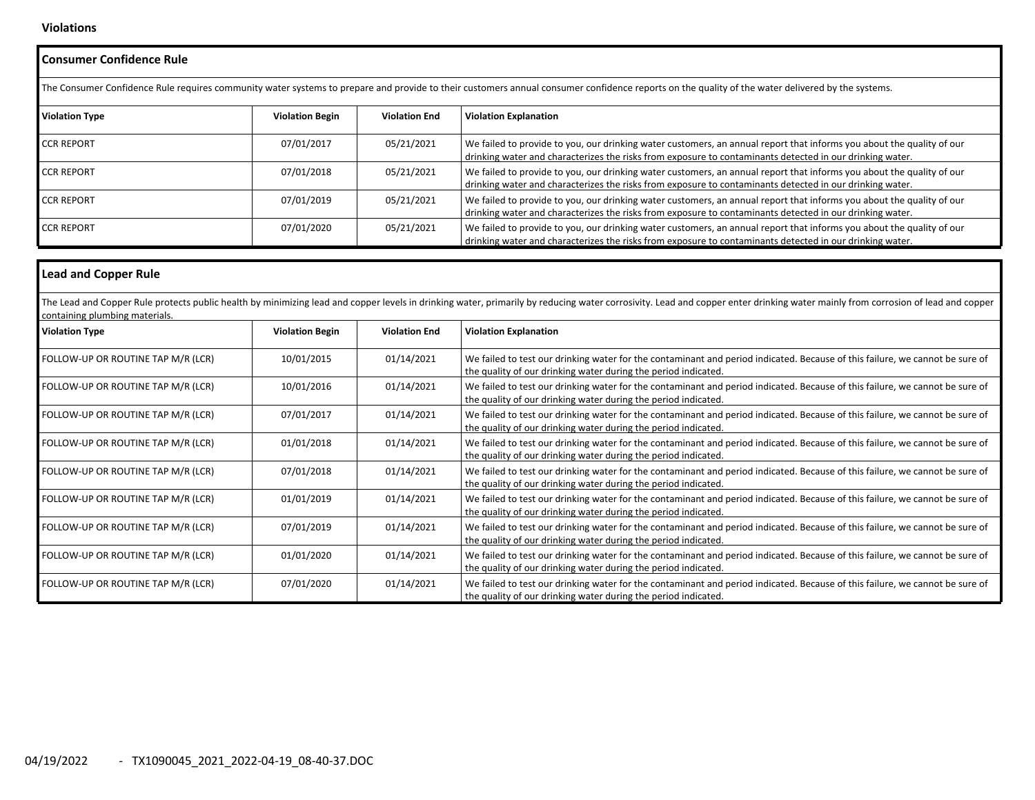### **Violations**

| <b>Consumer Confidence Rule</b>    |                                                                                                                                                                                                  |                      |                                                                                                                                                                                                                                   |  |  |  |  |  |  |  |
|------------------------------------|--------------------------------------------------------------------------------------------------------------------------------------------------------------------------------------------------|----------------------|-----------------------------------------------------------------------------------------------------------------------------------------------------------------------------------------------------------------------------------|--|--|--|--|--|--|--|
|                                    | The Consumer Confidence Rule requires community water systems to prepare and provide to their customers annual consumer confidence reports on the quality of the water delivered by the systems. |                      |                                                                                                                                                                                                                                   |  |  |  |  |  |  |  |
| <b>Violation Type</b>              | <b>Violation Begin</b>                                                                                                                                                                           | <b>Violation End</b> | <b>Violation Explanation</b>                                                                                                                                                                                                      |  |  |  |  |  |  |  |
| <b>CCR REPORT</b>                  | 07/01/2017                                                                                                                                                                                       | 05/21/2021           | We failed to provide to you, our drinking water customers, an annual report that informs you about the quality of our<br>drinking water and characterizes the risks from exposure to contaminants detected in our drinking water. |  |  |  |  |  |  |  |
| <b>CCR REPORT</b>                  | 07/01/2018                                                                                                                                                                                       | 05/21/2021           | We failed to provide to you, our drinking water customers, an annual report that informs you about the quality of our<br>drinking water and characterizes the risks from exposure to contaminants detected in our drinking water. |  |  |  |  |  |  |  |
| <b>CCR REPORT</b>                  | 07/01/2019                                                                                                                                                                                       | 05/21/2021           | We failed to provide to you, our drinking water customers, an annual report that informs you about the quality of our<br>drinking water and characterizes the risks from exposure to contaminants detected in our drinking water. |  |  |  |  |  |  |  |
| <b>CCR REPORT</b>                  | 07/01/2020                                                                                                                                                                                       | 05/21/2021           | We failed to provide to you, our drinking water customers, an annual report that informs you about the quality of our<br>drinking water and characterizes the risks from exposure to contaminants detected in our drinking water. |  |  |  |  |  |  |  |
| <b>Lead and Copper Rule</b>        |                                                                                                                                                                                                  |                      |                                                                                                                                                                                                                                   |  |  |  |  |  |  |  |
| containing plumbing materials.     |                                                                                                                                                                                                  |                      | The Lead and Copper Rule protects public health by minimizing lead and copper levels in drinking water, primarily by reducing water corrosivity. Lead and copper enter drinking water mainly from corrosion of lead and copper    |  |  |  |  |  |  |  |
| <b>Violation Type</b>              | <b>Violation Begin</b>                                                                                                                                                                           | <b>Violation End</b> | <b>Violation Explanation</b>                                                                                                                                                                                                      |  |  |  |  |  |  |  |
| FOLLOW-UP OR ROUTINE TAP M/R (LCR) | 10/01/2015                                                                                                                                                                                       | 01/14/2021           | We failed to test our drinking water for the contaminant and period indicated. Because of this failure, we cannot be sure of                                                                                                      |  |  |  |  |  |  |  |

| <b>Violation Type</b>              | <b>Violation Begin</b> | <b>Violation End</b> | <b>Violation Explanation</b>                                                                                                                                                                   |
|------------------------------------|------------------------|----------------------|------------------------------------------------------------------------------------------------------------------------------------------------------------------------------------------------|
| FOLLOW-UP OR ROUTINE TAP M/R (LCR) | 10/01/2015             | 01/14/2021           | We failed to test our drinking water for the contaminant and period indicated. Because of this failure, we cannot be sure of<br>the quality of our drinking water during the period indicated. |
| FOLLOW-UP OR ROUTINE TAP M/R (LCR) | 10/01/2016             | 01/14/2021           | We failed to test our drinking water for the contaminant and period indicated. Because of this failure, we cannot be sure of<br>the quality of our drinking water during the period indicated. |
| FOLLOW-UP OR ROUTINE TAP M/R (LCR) | 07/01/2017             | 01/14/2021           | We failed to test our drinking water for the contaminant and period indicated. Because of this failure, we cannot be sure of<br>the quality of our drinking water during the period indicated. |
| FOLLOW-UP OR ROUTINE TAP M/R (LCR) | 01/01/2018             | 01/14/2021           | We failed to test our drinking water for the contaminant and period indicated. Because of this failure, we cannot be sure of<br>the quality of our drinking water during the period indicated. |
| FOLLOW-UP OR ROUTINE TAP M/R (LCR) | 07/01/2018             | 01/14/2021           | We failed to test our drinking water for the contaminant and period indicated. Because of this failure, we cannot be sure of<br>the quality of our drinking water during the period indicated. |
| FOLLOW-UP OR ROUTINE TAP M/R (LCR) | 01/01/2019             | 01/14/2021           | We failed to test our drinking water for the contaminant and period indicated. Because of this failure, we cannot be sure of<br>the quality of our drinking water during the period indicated. |
| FOLLOW-UP OR ROUTINE TAP M/R (LCR) | 07/01/2019             | 01/14/2021           | We failed to test our drinking water for the contaminant and period indicated. Because of this failure, we cannot be sure of<br>the quality of our drinking water during the period indicated. |
| FOLLOW-UP OR ROUTINE TAP M/R (LCR) | 01/01/2020             | 01/14/2021           | We failed to test our drinking water for the contaminant and period indicated. Because of this failure, we cannot be sure of<br>the quality of our drinking water during the period indicated. |
| FOLLOW-UP OR ROUTINE TAP M/R (LCR) | 07/01/2020             | 01/14/2021           | We failed to test our drinking water for the contaminant and period indicated. Because of this failure, we cannot be sure of<br>the quality of our drinking water during the period indicated. |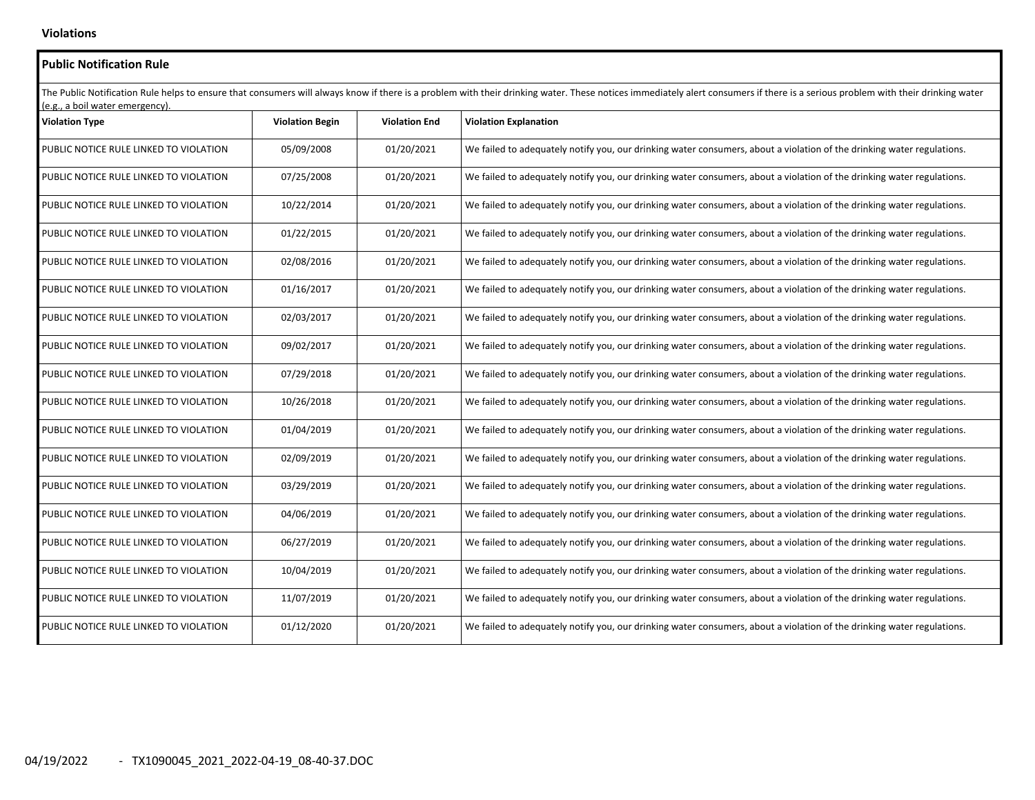## **Public Notification Rule** The Public Notification Rule helps to ensure that consumers will always know if there is a problem with their drinking water. These notices immediately alert consumers if there is a serious problem with their drinking wate (e.g., <sup>a</sup> boil water emergency). **Violation Type Violation Begin Violation End Violation Explanation** PUBLIC NOTICE RULE LINKED TO05/09/2008 | 01/20/2021 We failed to adequately notify you, our drinking water consumers, about a violation of the drinking water regulations. PUBLIC NOTICE RULE LINKED TO $\overline{07/25/2008}$  |  $\overline{01/20/2021}$  We failed to adequately notify you, our drinking water consumers, about a violation of the drinking water regulations. PUBLIC NOTICE RULE LINKED TO10/22/2014 | 01/20/2021 | We failed to adequately notify you, our drinking water consumers, about a violation of the drinking water regulations. PUBLIC NOTICE RULE LINKED TO $01/22/2015$  01/20/2021 We failed to adequately notify you, our drinking water consumers, about a violation of the drinking water regulations. PUBLIC NOTICE RULE LINKED TO $\vert$  01/20/2021 We failed to adequately notify you, our drinking water consumers, about a violation of the drinking water regulations. PUBLIC NOTICE RULE LINKED TO01/16/2017 | 01/20/2021 We failed to adequately notify you, our drinking water consumers, about a violation of the drinking water regulations. PUBLIC NOTICE RULE LINKED TO02/03/2017 | 01/20/2021 We failed to adequately notify you, our drinking water consumers, about a violation of the drinking water regulations. PUBLIC NOTICE RULE LINKED TO $\vert$  01/20/2021 We failed to adequately notify you, our drinking water consumers, about a violation of the drinking water regulations. PUBLIC NOTICE RULE LINKED TO $07/29/2018$  |  $01/20/2021$  We failed to adequately notify you, our drinking water consumers, about a violation of the drinking water regulations. PUBLIC NOTICE RULE LINKED TO10/26/2018 | 01/20/2021 | We failed to adequately notify you, our drinking water consumers, about a violation of the drinking water regulations. PUBLIC NOTICE RULE LINKED TO01/04/2019 | 01/20/2021 We failed to adequately notify you, our drinking water consumers, about a violation of the drinking water regulations. PUBLIC NOTICE RULE LINKED TO02/09/2019 **1** 01/20/2021 We failed to adequately notify you, our drinking water consumers, about a violation of the drinking water regulations. PUBLIC NOTICE RULE LINKED TO03/29/2019 | 01/20/2021 We failed to adequately notify you, our drinking water consumers, about a violation of the drinking water regulations. PUBLIC NOTICE RULE LINKED TO $\begin{array}{c|c} 04/06/2019 & 01/20/2021 & 06/2021 \end{array}$  We failed to adequately notify you, our drinking water consumers, about a violation of the drinking water regulations. PUBLIC NOTICE RULE LINKED TO06/27/2019 **1** 01/20/2021 We failed to adequately notify you, our drinking water consumers, about a violation of the drinking water regulations. PUBLIC NOTICE RULE LINKED TO10/04/2019 | 01/20/2021 | We failed to adequately notify you, our drinking water consumers, about a violation of the drinking water regulations. PUBLIC NOTICE RULE LINKED TO11/07/2019 | 01/20/2021 We failed to adequately notify you, our drinking water consumers, about a violation of the drinking water regulations. PUBLIC NOTICE RULE LINKED TO01/12/2020 **1** 01/20/2021 We failed to adequately notify you, our drinking water consumers, about a violation of the drinking water regulations.